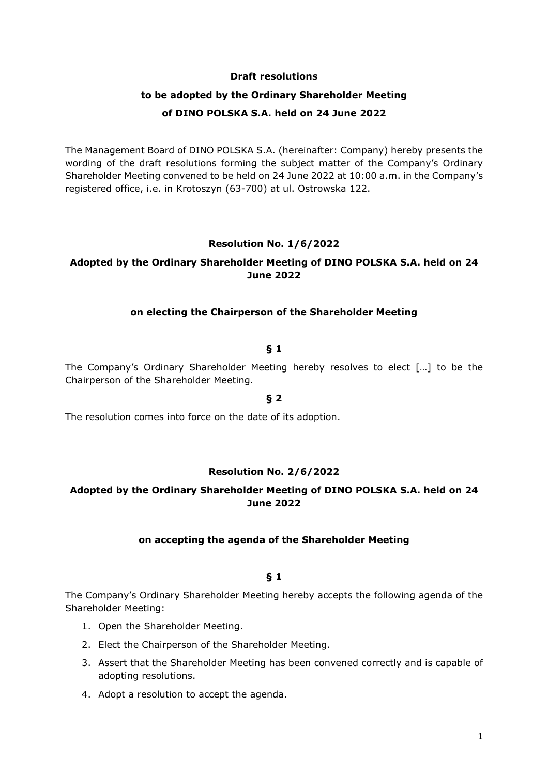### **Draft resolutions**

# **to be adopted by the Ordinary Shareholder Meeting of DINO POLSKA S.A. held on 24 June 2022**

The Management Board of DINO POLSKA S.A. (hereinafter: Company) hereby presents the wording of the draft resolutions forming the subject matter of the Company's Ordinary Shareholder Meeting convened to be held on 24 June 2022 at 10:00 a.m. in the Company's registered office, i.e. in Krotoszyn (63-700) at ul. Ostrowska 122.

### **Resolution No. 1/6/2022**

# **Adopted by the Ordinary Shareholder Meeting of DINO POLSKA S.A. held on 24 June 2022**

### **on electing the Chairperson of the Shareholder Meeting**

### **§ 1**

The Company's Ordinary Shareholder Meeting hereby resolves to elect […] to be the Chairperson of the Shareholder Meeting.

**§ 2** 

The resolution comes into force on the date of its adoption.

### **Resolution No. 2/6/2022**

# **Adopted by the Ordinary Shareholder Meeting of DINO POLSKA S.A. held on 24 June 2022**

### **on accepting the agenda of the Shareholder Meeting**

### **§ 1**

The Company's Ordinary Shareholder Meeting hereby accepts the following agenda of the Shareholder Meeting:

- 1. Open the Shareholder Meeting.
- 2. Elect the Chairperson of the Shareholder Meeting.
- 3. Assert that the Shareholder Meeting has been convened correctly and is capable of adopting resolutions.
- 4. Adopt a resolution to accept the agenda.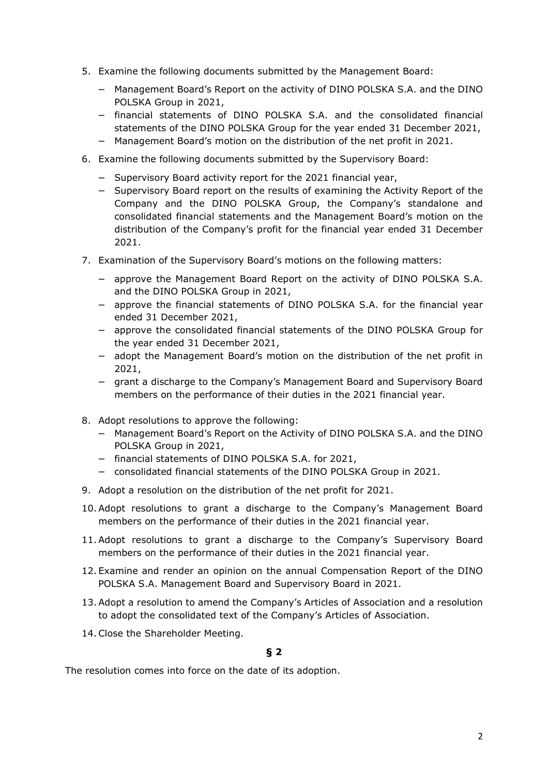- 5. Examine the following documents submitted by the Management Board:
	- − Management Board's Report on the activity of DINO POLSKA S.A. and the DINO POLSKA Group in 2021,
	- − financial statements of DINO POLSKA S.A. and the consolidated financial statements of the DINO POLSKA Group for the year ended 31 December 2021,
	- − Management Board's motion on the distribution of the net profit in 2021.
- 6. Examine the following documents submitted by the Supervisory Board:
	- − Supervisory Board activity report for the 2021 financial year,
	- − Supervisory Board report on the results of examining the Activity Report of the Company and the DINO POLSKA Group, the Company's standalone and consolidated financial statements and the Management Board's motion on the distribution of the Company's profit for the financial year ended 31 December 2021.
- 7. Examination of the Supervisory Board's motions on the following matters:
	- − approve the Management Board Report on the activity of DINO POLSKA S.A. and the DINO POLSKA Group in 2021,
	- − approve the financial statements of DINO POLSKA S.A. for the financial year ended 31 December 2021,
	- − approve the consolidated financial statements of the DINO POLSKA Group for the year ended 31 December 2021,
	- − adopt the Management Board's motion on the distribution of the net profit in 2021,
	- − grant a discharge to the Company's Management Board and Supervisory Board members on the performance of their duties in the 2021 financial year.
- 8. Adopt resolutions to approve the following:
	- − Management Board's Report on the Activity of DINO POLSKA S.A. and the DINO POLSKA Group in 2021,
	- − financial statements of DINO POLSKA S.A. for 2021,
	- − consolidated financial statements of the DINO POLSKA Group in 2021.
- 9. Adopt a resolution on the distribution of the net profit for 2021.
- 10.Adopt resolutions to grant a discharge to the Company's Management Board members on the performance of their duties in the 2021 financial year.
- 11.Adopt resolutions to grant a discharge to the Company's Supervisory Board members on the performance of their duties in the 2021 financial year.
- 12. Examine and render an opinion on the annual Compensation Report of the DINO POLSKA S.A. Management Board and Supervisory Board in 2021.
- 13.Adopt a resolution to amend the Company's Articles of Association and a resolution to adopt the consolidated text of the Company's Articles of Association.
- 14.Close the Shareholder Meeting.

# **§ 2**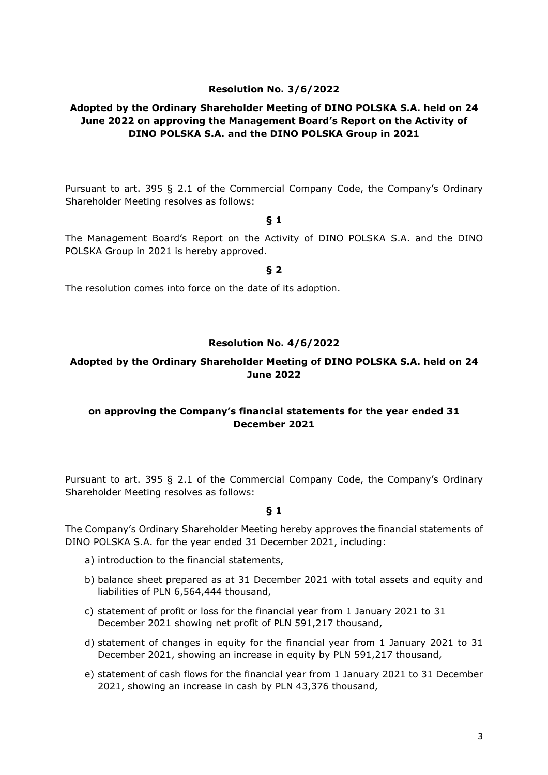## **Resolution No. 3/6/2022**

# **Adopted by the Ordinary Shareholder Meeting of DINO POLSKA S.A. held on 24 June 2022 on approving the Management Board's Report on the Activity of DINO POLSKA S.A. and the DINO POLSKA Group in 2021**

Pursuant to art. 395 § 2.1 of the Commercial Company Code, the Company's Ordinary Shareholder Meeting resolves as follows:

### **§ 1**

The Management Board's Report on the Activity of DINO POLSKA S.A. and the DINO POLSKA Group in 2021 is hereby approved.

**§ 2** 

The resolution comes into force on the date of its adoption.

### **Resolution No. 4/6/2022**

## **Adopted by the Ordinary Shareholder Meeting of DINO POLSKA S.A. held on 24 June 2022**

### **on approving the Company's financial statements for the year ended 31 December 2021**

Pursuant to art. 395 § 2.1 of the Commercial Company Code, the Company's Ordinary Shareholder Meeting resolves as follows:

### **§ 1**

The Company's Ordinary Shareholder Meeting hereby approves the financial statements of DINO POLSKA S.A. for the year ended 31 December 2021, including:

- a) introduction to the financial statements,
- b) balance sheet prepared as at 31 December 2021 with total assets and equity and liabilities of PLN 6,564,444 thousand,
- c) statement of profit or loss for the financial year from 1 January 2021 to 31 December 2021 showing net profit of PLN 591,217 thousand,
- d) statement of changes in equity for the financial year from 1 January 2021 to 31 December 2021, showing an increase in equity by PLN 591,217 thousand,
- e) statement of cash flows for the financial year from 1 January 2021 to 31 December 2021, showing an increase in cash by PLN 43,376 thousand,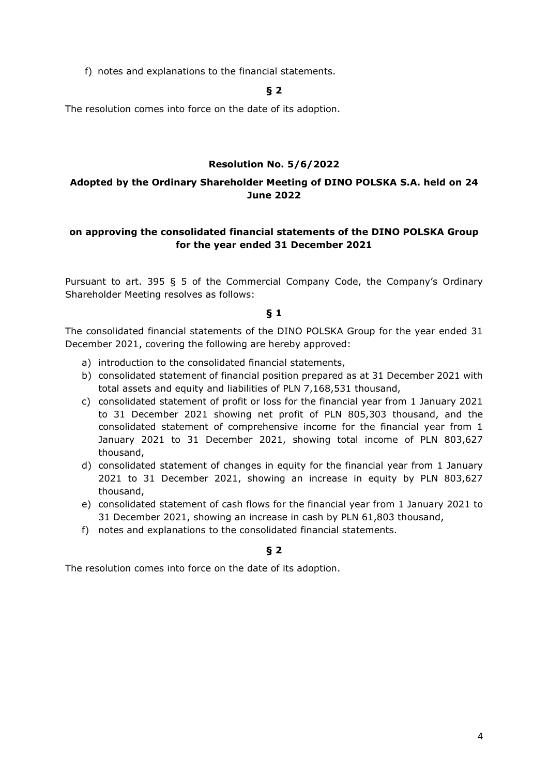f) notes and explanations to the financial statements.

# **§ 2**

The resolution comes into force on the date of its adoption.

### **Resolution No. 5/6/2022**

# **Adopted by the Ordinary Shareholder Meeting of DINO POLSKA S.A. held on 24 June 2022**

# **on approving the consolidated financial statements of the DINO POLSKA Group for the year ended 31 December 2021**

Pursuant to art. 395 § 5 of the Commercial Company Code, the Company's Ordinary Shareholder Meeting resolves as follows:

### **§ 1**

The consolidated financial statements of the DINO POLSKA Group for the year ended 31 December 2021, covering the following are hereby approved:

- a) introduction to the consolidated financial statements,
- b) consolidated statement of financial position prepared as at 31 December 2021 with total assets and equity and liabilities of PLN 7,168,531 thousand,
- c) consolidated statement of profit or loss for the financial year from 1 January 2021 to 31 December 2021 showing net profit of PLN 805,303 thousand, and the consolidated statement of comprehensive income for the financial year from 1 January 2021 to 31 December 2021, showing total income of PLN 803,627 thousand,
- d) consolidated statement of changes in equity for the financial year from 1 January 2021 to 31 December 2021, showing an increase in equity by PLN 803,627 thousand,
- e) consolidated statement of cash flows for the financial year from 1 January 2021 to 31 December 2021, showing an increase in cash by PLN 61,803 thousand,
- f) notes and explanations to the consolidated financial statements.

# **§ 2**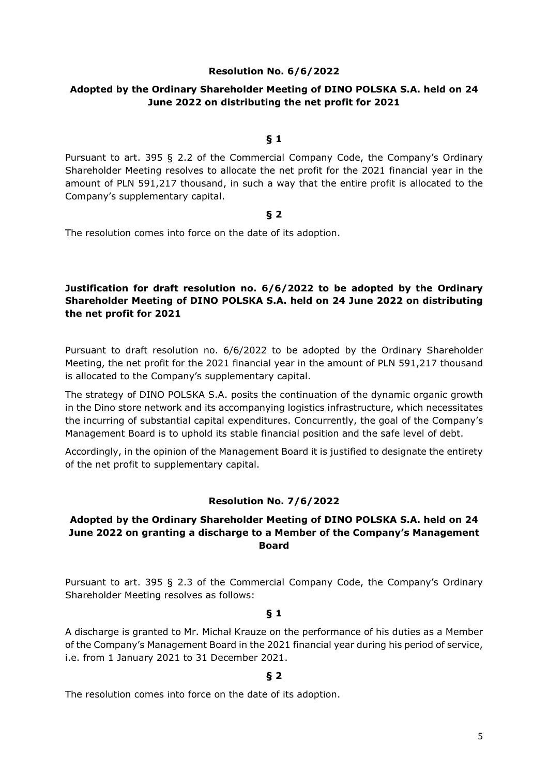### **Resolution No. 6/6/2022**

# **Adopted by the Ordinary Shareholder Meeting of DINO POLSKA S.A. held on 24 June 2022 on distributing the net profit for 2021**

### **§ 1**

Pursuant to art. 395 § 2.2 of the Commercial Company Code, the Company's Ordinary Shareholder Meeting resolves to allocate the net profit for the 2021 financial year in the amount of PLN 591,217 thousand, in such a way that the entire profit is allocated to the Company's supplementary capital.

### **§ 2**

The resolution comes into force on the date of its adoption.

# **Justification for draft resolution no. 6/6/2022 to be adopted by the Ordinary Shareholder Meeting of DINO POLSKA S.A. held on 24 June 2022 on distributing the net profit for 2021**

Pursuant to draft resolution no. 6/6/2022 to be adopted by the Ordinary Shareholder Meeting, the net profit for the 2021 financial year in the amount of PLN 591,217 thousand is allocated to the Company's supplementary capital.

The strategy of DINO POLSKA S.A. posits the continuation of the dynamic organic growth in the Dino store network and its accompanying logistics infrastructure, which necessitates the incurring of substantial capital expenditures. Concurrently, the goal of the Company's Management Board is to uphold its stable financial position and the safe level of debt.

Accordingly, in the opinion of the Management Board it is justified to designate the entirety of the net profit to supplementary capital.

# **Resolution No. 7/6/2022**

# **Adopted by the Ordinary Shareholder Meeting of DINO POLSKA S.A. held on 24 June 2022 on granting a discharge to a Member of the Company's Management Board**

Pursuant to art. 395 § 2.3 of the Commercial Company Code, the Company's Ordinary Shareholder Meeting resolves as follows:

### **§ 1**

A discharge is granted to Mr. Michał Krauze on the performance of his duties as a Member of the Company's Management Board in the 2021 financial year during his period of service, i.e. from 1 January 2021 to 31 December 2021.

# **§ 2**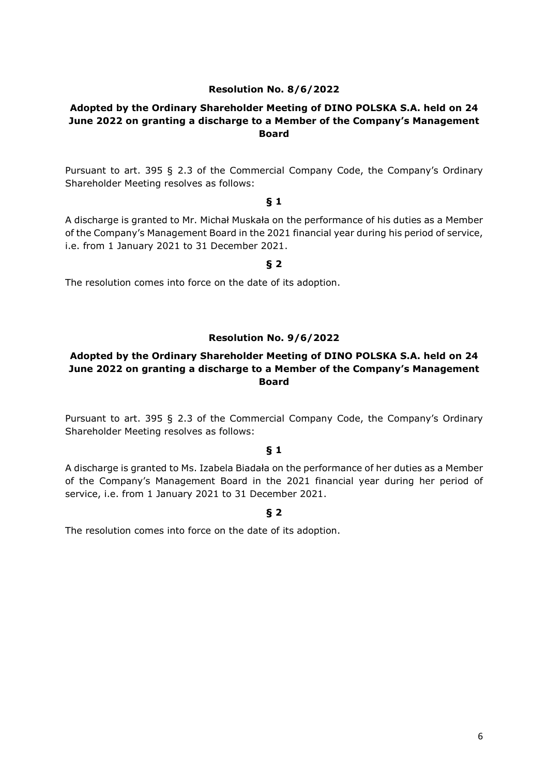### **Resolution No. 8/6/2022**

# **Adopted by the Ordinary Shareholder Meeting of DINO POLSKA S.A. held on 24 June 2022 on granting a discharge to a Member of the Company's Management Board**

Pursuant to art. 395 § 2.3 of the Commercial Company Code, the Company's Ordinary Shareholder Meeting resolves as follows:

### **§ 1**

A discharge is granted to Mr. Michał Muskała on the performance of his duties as a Member of the Company's Management Board in the 2021 financial year during his period of service, i.e. from 1 January 2021 to 31 December 2021.

**§ 2** 

The resolution comes into force on the date of its adoption.

### **Resolution No. 9/6/2022**

# **Adopted by the Ordinary Shareholder Meeting of DINO POLSKA S.A. held on 24 June 2022 on granting a discharge to a Member of the Company's Management Board**

Pursuant to art. 395 § 2.3 of the Commercial Company Code, the Company's Ordinary Shareholder Meeting resolves as follows:

## **§ 1**

A discharge is granted to Ms. Izabela Biadała on the performance of her duties as a Member of the Company's Management Board in the 2021 financial year during her period of service, i.e. from 1 January 2021 to 31 December 2021.

### **§ 2**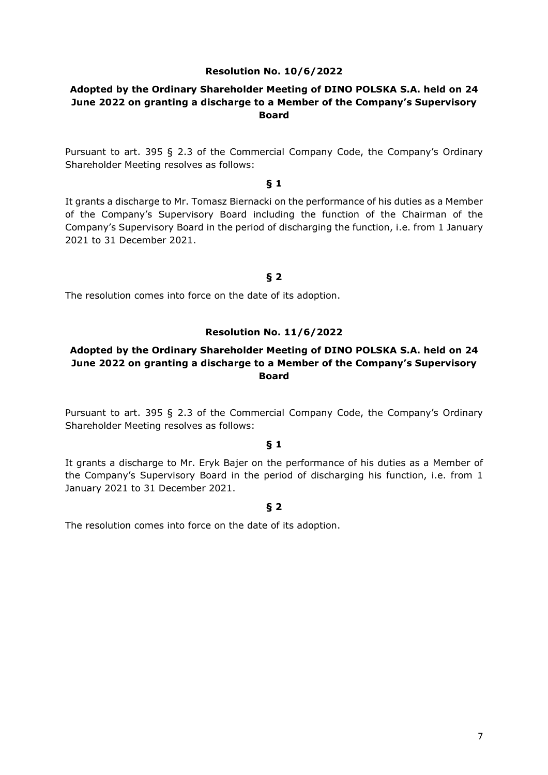### **Resolution No. 10/6/2022**

### **Adopted by the Ordinary Shareholder Meeting of DINO POLSKA S.A. held on 24 June 2022 on granting a discharge to a Member of the Company's Supervisory Board**

Pursuant to art. 395 § 2.3 of the Commercial Company Code, the Company's Ordinary Shareholder Meeting resolves as follows:

#### **§ 1**

It grants a discharge to Mr. Tomasz Biernacki on the performance of his duties as a Member of the Company's Supervisory Board including the function of the Chairman of the Company's Supervisory Board in the period of discharging the function, i.e. from 1 January 2021 to 31 December 2021.

# **§ 2**

The resolution comes into force on the date of its adoption.

### **Resolution No. 11/6/2022**

# **Adopted by the Ordinary Shareholder Meeting of DINO POLSKA S.A. held on 24 June 2022 on granting a discharge to a Member of the Company's Supervisory Board**

Pursuant to art. 395 § 2.3 of the Commercial Company Code, the Company's Ordinary Shareholder Meeting resolves as follows:

#### **§ 1**

It grants a discharge to Mr. Eryk Bajer on the performance of his duties as a Member of the Company's Supervisory Board in the period of discharging his function, i.e. from 1 January 2021 to 31 December 2021.

#### **§ 2**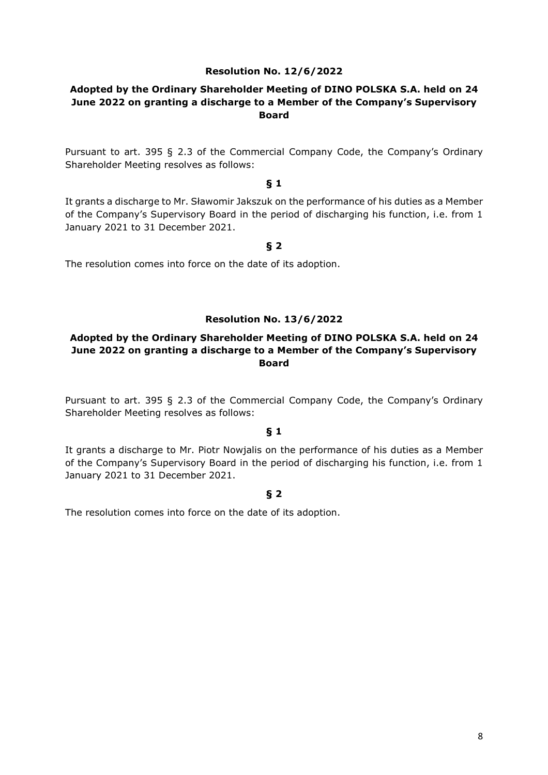### **Resolution No. 12/6/2022**

# **Adopted by the Ordinary Shareholder Meeting of DINO POLSKA S.A. held on 24 June 2022 on granting a discharge to a Member of the Company's Supervisory Board**

Pursuant to art. 395 § 2.3 of the Commercial Company Code, the Company's Ordinary Shareholder Meeting resolves as follows:

### **§ 1**

It grants a discharge to Mr. Sławomir Jakszuk on the performance of his duties as a Member of the Company's Supervisory Board in the period of discharging his function, i.e. from 1 January 2021 to 31 December 2021.

### **§ 2**

The resolution comes into force on the date of its adoption.

### **Resolution No. 13/6/2022**

# **Adopted by the Ordinary Shareholder Meeting of DINO POLSKA S.A. held on 24 June 2022 on granting a discharge to a Member of the Company's Supervisory Board**

Pursuant to art. 395 § 2.3 of the Commercial Company Code, the Company's Ordinary Shareholder Meeting resolves as follows:

### **§ 1**

It grants a discharge to Mr. Piotr Nowjalis on the performance of his duties as a Member of the Company's Supervisory Board in the period of discharging his function, i.e. from 1 January 2021 to 31 December 2021.

#### **§ 2**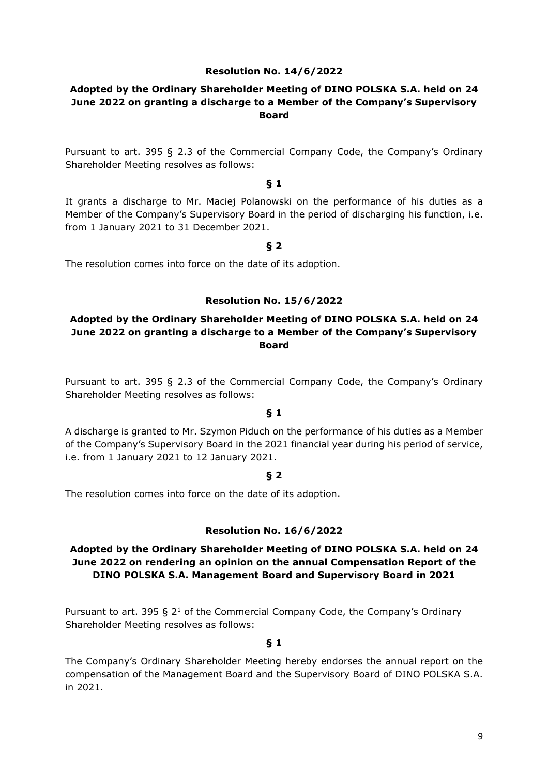### **Resolution No. 14/6/2022**

# **Adopted by the Ordinary Shareholder Meeting of DINO POLSKA S.A. held on 24 June 2022 on granting a discharge to a Member of the Company's Supervisory Board**

Pursuant to art. 395 § 2.3 of the Commercial Company Code, the Company's Ordinary Shareholder Meeting resolves as follows:

### **§ 1**

It grants a discharge to Mr. Maciej Polanowski on the performance of his duties as a Member of the Company's Supervisory Board in the period of discharging his function, i.e. from 1 January 2021 to 31 December 2021.

### **§ 2**

The resolution comes into force on the date of its adoption.

### **Resolution No. 15/6/2022**

# **Adopted by the Ordinary Shareholder Meeting of DINO POLSKA S.A. held on 24 June 2022 on granting a discharge to a Member of the Company's Supervisory Board**

Pursuant to art. 395 § 2.3 of the Commercial Company Code, the Company's Ordinary Shareholder Meeting resolves as follows:

### **§ 1**

A discharge is granted to Mr. Szymon Piduch on the performance of his duties as a Member of the Company's Supervisory Board in the 2021 financial year during his period of service, i.e. from 1 January 2021 to 12 January 2021.

#### **§ 2**

The resolution comes into force on the date of its adoption.

### **Resolution No. 16/6/2022**

# **Adopted by the Ordinary Shareholder Meeting of DINO POLSKA S.A. held on 24 June 2022 on rendering an opinion on the annual Compensation Report of the DINO POLSKA S.A. Management Board and Supervisory Board in 2021**

Pursuant to art. 395 §  $2<sup>1</sup>$  of the Commercial Company Code, the Company's Ordinary Shareholder Meeting resolves as follows:

### **§ 1**

The Company's Ordinary Shareholder Meeting hereby endorses the annual report on the compensation of the Management Board and the Supervisory Board of DINO POLSKA S.A. in 2021.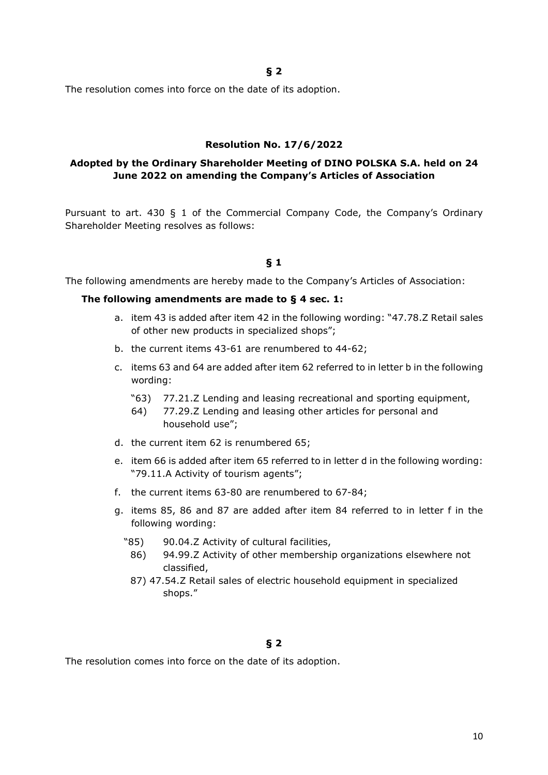**§ 2** 

The resolution comes into force on the date of its adoption.

#### **Resolution No. 17/6/2022**

# **Adopted by the Ordinary Shareholder Meeting of DINO POLSKA S.A. held on 24 June 2022 on amending the Company's Articles of Association**

Pursuant to art. 430 § 1 of the Commercial Company Code, the Company's Ordinary Shareholder Meeting resolves as follows:

### **§ 1**

The following amendments are hereby made to the Company's Articles of Association:

#### **The following amendments are made to § 4 sec. 1:**

- a. item 43 is added after item 42 in the following wording: "47.78.Z Retail sales of other new products in specialized shops";
- b. the current items 43-61 are renumbered to 44-62;
- c. items 63 and 64 are added after item 62 referred to in letter b in the following wording:
	- "63) 77.21.Z Lending and leasing recreational and sporting equipment,
	- 64) 77.29.Z Lending and leasing other articles for personal and household use";
- d. the current item 62 is renumbered 65;
- e. item 66 is added after item 65 referred to in letter d in the following wording: "79.11.A Activity of tourism agents";
- f. the current items 63-80 are renumbered to 67-84;
- g. items 85, 86 and 87 are added after item 84 referred to in letter f in the following wording:
	- "85) 90.04.Z Activity of cultural facilities,
		- 86) 94.99.Z Activity of other membership organizations elsewhere not classified,
		- 87) 47.54.Z Retail sales of electric household equipment in specialized shops."

### **§ 2**